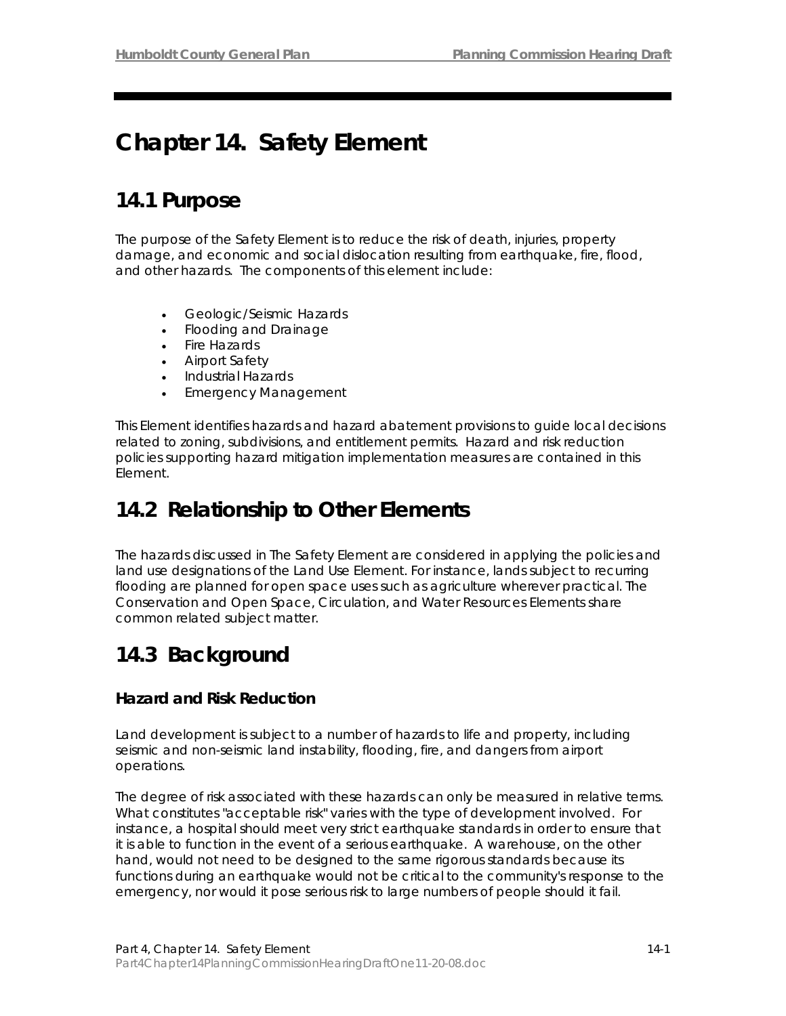# **Chapter 14. Safety Element**

## **14.1 Purpose**

The purpose of the Safety Element is to reduce the risk of death, injuries, property damage, and economic and social dislocation resulting from earthquake, fire, flood, and other hazards. The components of this element include:

- Geologic/Seismic Hazards
- Flooding and Drainage
- Fire Hazards
- Airport Safety
- Industrial Hazards
- Emergency Management

This Element identifies hazards and hazard abatement provisions to guide local decisions related to zoning, subdivisions, and entitlement permits. Hazard and risk reduction policies supporting hazard mitigation implementation measures are contained in this Element.

## **14.2 Relationship to Other Elements**

The hazards discussed in The Safety Element are considered in applying the policies and land use designations of the Land Use Element. For instance, lands subject to recurring flooding are planned for open space uses such as agriculture wherever practical. The Conservation and Open Space, Circulation, and Water Resources Elements share common related subject matter.

## **14.3 Background**

## **Hazard and Risk Reduction**

Land development is subject to a number of hazards to life and property, including seismic and non-seismic land instability, flooding, fire, and dangers from airport operations.

The degree of risk associated with these hazards can only be measured in relative terms. What constitutes "acceptable risk" varies with the type of development involved. For instance, a hospital should meet very strict earthquake standards in order to ensure that it is able to function in the event of a serious earthquake. A warehouse, on the other hand, would not need to be designed to the same rigorous standards because its functions during an earthquake would not be critical to the community's response to the emergency, nor would it pose serious risk to large numbers of people should it fail.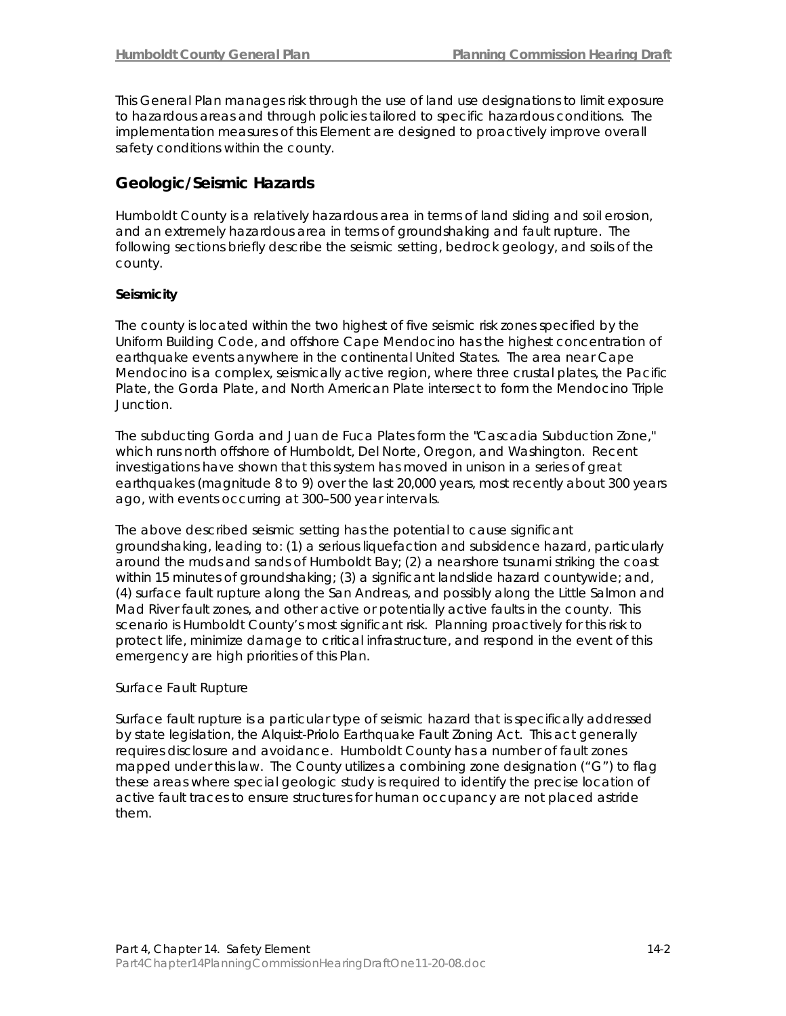This General Plan manages risk through the use of land use designations to limit exposure to hazardous areas and through policies tailored to specific hazardous conditions. The implementation measures of this Element are designed to proactively improve overall safety conditions within the county.

## **Geologic/Seismic Hazards**

Humboldt County is a relatively hazardous area in terms of land sliding and soil erosion, and an extremely hazardous area in terms of groundshaking and fault rupture. The following sections briefly describe the seismic setting, bedrock geology, and soils of the county.

## **Seismicity**

The county is located within the two highest of five seismic risk zones specified by the Uniform Building Code, and offshore Cape Mendocino has the highest concentration of earthquake events anywhere in the continental United States. The area near Cape Mendocino is a complex, seismically active region, where three crustal plates, the Pacific Plate, the Gorda Plate, and North American Plate intersect to form the Mendocino Triple Junction.

The subducting Gorda and Juan de Fuca Plates form the "Cascadia Subduction Zone," which runs north offshore of Humboldt, Del Norte, Oregon, and Washington. Recent investigations have shown that this system has moved in unison in a series of great earthquakes (magnitude 8 to 9) over the last 20,000 years, most recently about 300 years ago, with events occurring at 300–500 year intervals.

The above described seismic setting has the potential to cause significant groundshaking, leading to: (1) a serious liquefaction and subsidence hazard, particularly around the muds and sands of Humboldt Bay; (2) a nearshore tsunami striking the coast within 15 minutes of groundshaking; (3) a significant landslide hazard countywide; and, (4) surface fault rupture along the San Andreas, and possibly along the Little Salmon and Mad River fault zones, and other active or potentially active faults in the county. This scenario is Humboldt County's most significant risk. Planning proactively for this risk to protect life, minimize damage to critical infrastructure, and respond in the event of this emergency are high priorities of this Plan.

## *Surface Fault Rupture*

Surface fault rupture is a particular type of seismic hazard that is specifically addressed by state legislation, the Alquist-Priolo Earthquake Fault Zoning Act. This act generally requires disclosure and avoidance. Humboldt County has a number of fault zones mapped under this law. The County utilizes a combining zone designation ("G") to flag these areas where special geologic study is required to identify the precise location of active fault traces to ensure structures for human occupancy are not placed astride them.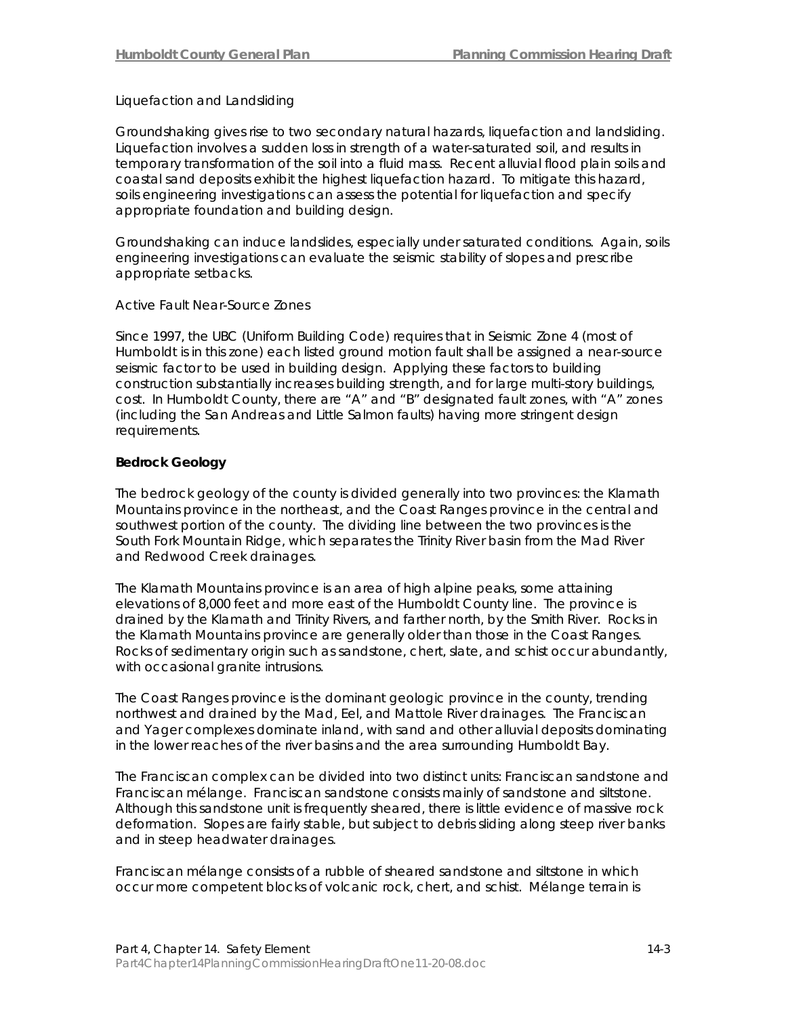### *Liquefaction and Landsliding*

Groundshaking gives rise to two secondary natural hazards, liquefaction and landsliding. Liquefaction involves a sudden loss in strength of a water-saturated soil, and results in temporary transformation of the soil into a fluid mass. Recent alluvial flood plain soils and coastal sand deposits exhibit the highest liquefaction hazard. To mitigate this hazard, soils engineering investigations can assess the potential for liquefaction and specify appropriate foundation and building design.

Groundshaking can induce landslides, especially under saturated conditions. Again, soils engineering investigations can evaluate the seismic stability of slopes and prescribe appropriate setbacks.

#### *Active Fault Near-Source Zones*

Since 1997, the UBC (Uniform Building Code) requires that in Seismic Zone 4 (most of Humboldt is in this zone) each listed ground motion fault shall be assigned a near-source seismic factor to be used in building design. Applying these factors to building construction substantially increases building strength, and for large multi-story buildings, cost. In Humboldt County, there are "A" and "B" designated fault zones, with "A" zones (including the San Andreas and Little Salmon faults) having more stringent design requirements.

### **Bedrock Geology**

The bedrock geology of the county is divided generally into two provinces: the Klamath Mountains province in the northeast, and the Coast Ranges province in the central and southwest portion of the county. The dividing line between the two provinces is the South Fork Mountain Ridge, which separates the Trinity River basin from the Mad River and Redwood Creek drainages.

The Klamath Mountains province is an area of high alpine peaks, some attaining elevations of 8,000 feet and more east of the Humboldt County line. The province is drained by the Klamath and Trinity Rivers, and farther north, by the Smith River. Rocks in the Klamath Mountains province are generally older than those in the Coast Ranges. Rocks of sedimentary origin such as sandstone, chert, slate, and schist occur abundantly, with occasional granite intrusions.

The Coast Ranges province is the dominant geologic province in the county, trending northwest and drained by the Mad, Eel, and Mattole River drainages. The Franciscan and Yager complexes dominate inland, with sand and other alluvial deposits dominating in the lower reaches of the river basins and the area surrounding Humboldt Bay.

The Franciscan complex can be divided into two distinct units: Franciscan sandstone and Franciscan mélange. Franciscan sandstone consists mainly of sandstone and siltstone. Although this sandstone unit is frequently sheared, there is little evidence of massive rock deformation. Slopes are fairly stable, but subject to debris sliding along steep river banks and in steep headwater drainages.

Franciscan mélange consists of a rubble of sheared sandstone and siltstone in which occur more competent blocks of volcanic rock, chert, and schist. Mélange terrain is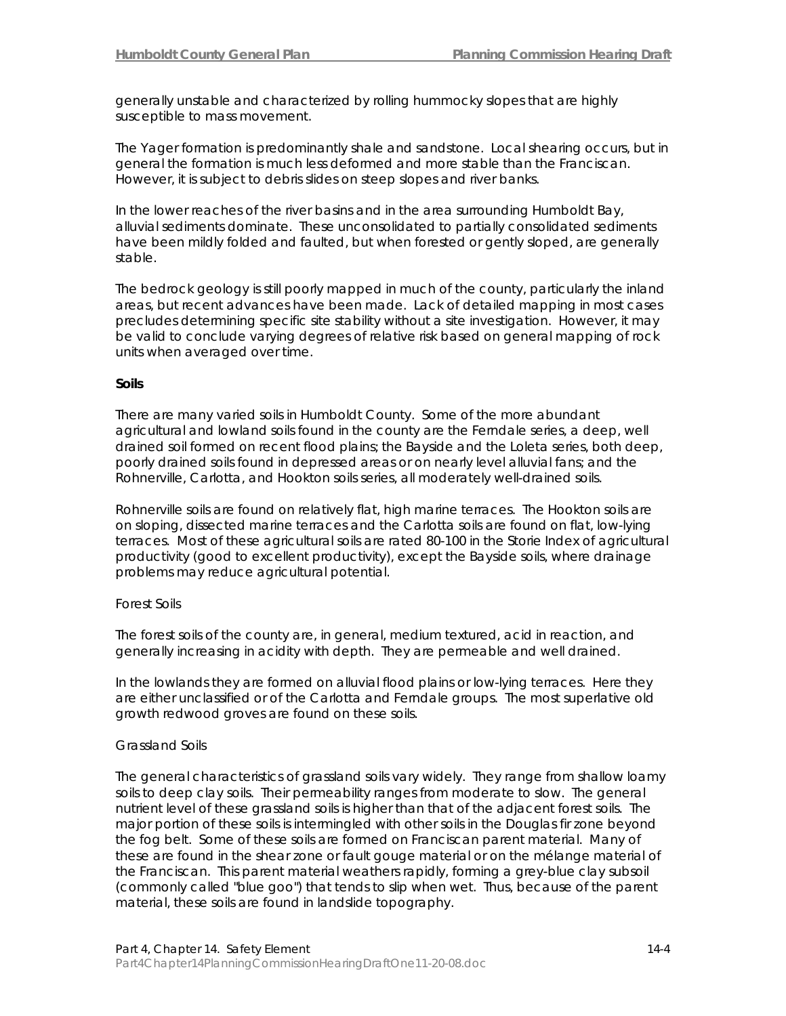generally unstable and characterized by rolling hummocky slopes that are highly susceptible to mass movement.

The Yager formation is predominantly shale and sandstone. Local shearing occurs, but in general the formation is much less deformed and more stable than the Franciscan. However, it is subject to debris slides on steep slopes and river banks.

In the lower reaches of the river basins and in the area surrounding Humboldt Bay, alluvial sediments dominate. These unconsolidated to partially consolidated sediments have been mildly folded and faulted, but when forested or gently sloped, are generally stable.

The bedrock geology is still poorly mapped in much of the county, particularly the inland areas, but recent advances have been made. Lack of detailed mapping in most cases precludes determining specific site stability without a site investigation. However, it may be valid to conclude varying degrees of relative risk based on general mapping of rock units when averaged over time.

### **Soils**

There are many varied soils in Humboldt County. Some of the more abundant agricultural and lowland soils found in the county are the Ferndale series, a deep, well drained soil formed on recent flood plains; the Bayside and the Loleta series, both deep, poorly drained soils found in depressed areas or on nearly level alluvial fans; and the Rohnerville, Carlotta, and Hookton soils series, all moderately well-drained soils.

Rohnerville soils are found on relatively flat, high marine terraces. The Hookton soils are on sloping, dissected marine terraces and the Carlotta soils are found on flat, low-lying terraces. Most of these agricultural soils are rated 80-100 in the Storie Index of agricultural productivity (good to excellent productivity), except the Bayside soils, where drainage problems may reduce agricultural potential.

### *Forest Soils*

The forest soils of the county are, in general, medium textured, acid in reaction, and generally increasing in acidity with depth. They are permeable and well drained.

In the lowlands they are formed on alluvial flood plains or low-lying terraces. Here they are either unclassified or of the Carlotta and Ferndale groups. The most superlative old growth redwood groves are found on these soils.

### *Grassland Soils*

The general characteristics of grassland soils vary widely. They range from shallow loamy soils to deep clay soils. Their permeability ranges from moderate to slow. The general nutrient level of these grassland soils is higher than that of the adjacent forest soils. The major portion of these soils is intermingled with other soils in the Douglas fir zone beyond the fog belt. Some of these soils are formed on Franciscan parent material. Many of these are found in the shear zone or fault gouge material or on the mélange material of the Franciscan. This parent material weathers rapidly, forming a grey-blue clay subsoil (commonly called "blue goo") that tends to slip when wet. Thus, because of the parent material, these soils are found in landslide topography.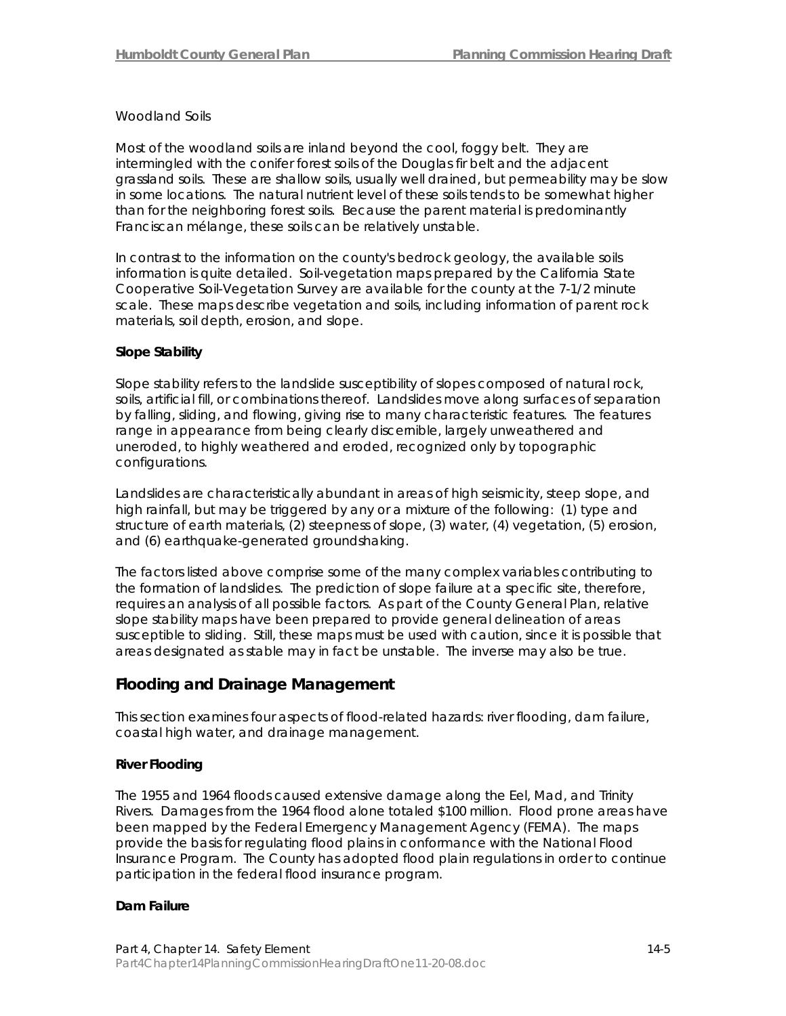#### *Woodland Soils*

Most of the woodland soils are inland beyond the cool, foggy belt. They are intermingled with the conifer forest soils of the Douglas fir belt and the adjacent grassland soils. These are shallow soils, usually well drained, but permeability may be slow in some locations. The natural nutrient level of these soils tends to be somewhat higher than for the neighboring forest soils. Because the parent material is predominantly Franciscan mélange, these soils can be relatively unstable.

In contrast to the information on the county's bedrock geology, the available soils information is quite detailed. Soil-vegetation maps prepared by the California State Cooperative Soil-Vegetation Survey are available for the county at the 7-1/2 minute scale. These maps describe vegetation and soils, including information of parent rock materials, soil depth, erosion, and slope.

### **Slope Stability**

Slope stability refers to the landslide susceptibility of slopes composed of natural rock, soils, artificial fill, or combinations thereof. Landslides move along surfaces of separation by falling, sliding, and flowing, giving rise to many characteristic features. The features range in appearance from being clearly discernible, largely unweathered and uneroded, to highly weathered and eroded, recognized only by topographic configurations.

Landslides are characteristically abundant in areas of high seismicity, steep slope, and high rainfall, but may be triggered by any or a mixture of the following: (1) type and structure of earth materials, (2) steepness of slope, (3) water, (4) vegetation, (5) erosion, and (6) earthquake-generated groundshaking.

The factors listed above comprise some of the many complex variables contributing to the formation of landslides. The prediction of slope failure at a specific site, therefore, requires an analysis of all possible factors. As part of the County General Plan, relative slope stability maps have been prepared to provide general delineation of areas susceptible to sliding. Still, these maps must be used with caution, since it is possible that areas designated as stable may in fact be unstable. The inverse may also be true.

## **Flooding and Drainage Management**

This section examines four aspects of flood-related hazards: river flooding, dam failure, coastal high water, and drainage management.

### **River Flooding**

The 1955 and 1964 floods caused extensive damage along the Eel, Mad, and Trinity Rivers. Damages from the 1964 flood alone totaled \$100 million. Flood prone areas have been mapped by the Federal Emergency Management Agency (FEMA). The maps provide the basis for regulating flood plains in conformance with the National Flood Insurance Program. The County has adopted flood plain regulations in order to continue participation in the federal flood insurance program.

### **Dam Failure**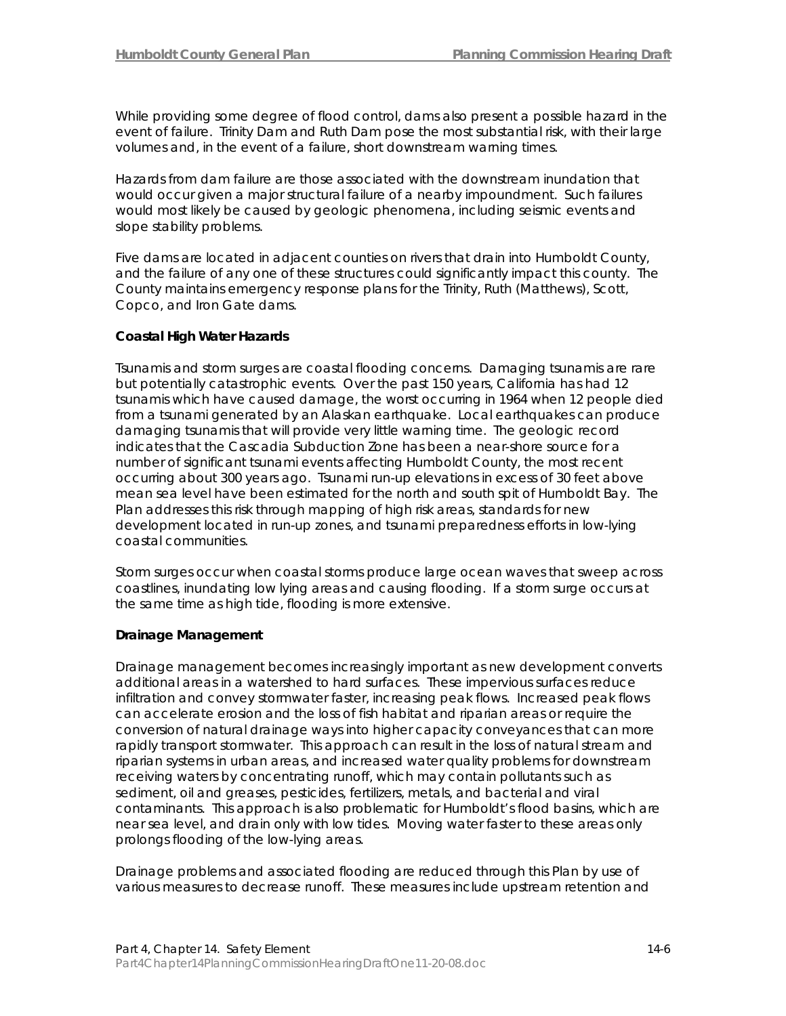While providing some degree of flood control, dams also present a possible hazard in the event of failure. Trinity Dam and Ruth Dam pose the most substantial risk, with their large volumes and, in the event of a failure, short downstream warning times.

Hazards from dam failure are those associated with the downstream inundation that would occur given a major structural failure of a nearby impoundment. Such failures would most likely be caused by geologic phenomena, including seismic events and slope stability problems.

Five dams are located in adjacent counties on rivers that drain into Humboldt County, and the failure of any one of these structures could significantly impact this county. The County maintains emergency response plans for the Trinity, Ruth (Matthews), Scott, Copco, and Iron Gate dams.

## **Coastal High Water Hazards**

Tsunamis and storm surges are coastal flooding concerns. Damaging tsunamis are rare but potentially catastrophic events. Over the past 150 years, California has had 12 tsunamis which have caused damage, the worst occurring in 1964 when 12 people died from a tsunami generated by an Alaskan earthquake. Local earthquakes can produce damaging tsunamis that will provide very little warning time. The geologic record indicates that the Cascadia Subduction Zone has been a near-shore source for a number of significant tsunami events affecting Humboldt County, the most recent occurring about 300 years ago. Tsunami run-up elevations in excess of 30 feet above mean sea level have been estimated for the north and south spit of Humboldt Bay. The Plan addresses this risk through mapping of high risk areas, standards for new development located in run-up zones, and tsunami preparedness efforts in low-lying coastal communities.

Storm surges occur when coastal storms produce large ocean waves that sweep across coastlines, inundating low lying areas and causing flooding. If a storm surge occurs at the same time as high tide, flooding is more extensive.

### **Drainage Management**

Drainage management becomes increasingly important as new development converts additional areas in a watershed to hard surfaces. These impervious surfaces reduce infiltration and convey stormwater faster, increasing peak flows. Increased peak flows can accelerate erosion and the loss of fish habitat and riparian areas or require the conversion of natural drainage ways into higher capacity conveyances that can more rapidly transport stormwater. This approach can result in the loss of natural stream and riparian systems in urban areas, and increased water quality problems for downstream receiving waters by concentrating runoff, which may contain pollutants such as sediment, oil and greases, pesticides, fertilizers, metals, and bacterial and viral contaminants. This approach is also problematic for Humboldt's flood basins, which are near sea level, and drain only with low tides. Moving water faster to these areas only prolongs flooding of the low-lying areas.

Drainage problems and associated flooding are reduced through this Plan by use of various measures to decrease runoff. These measures include upstream retention and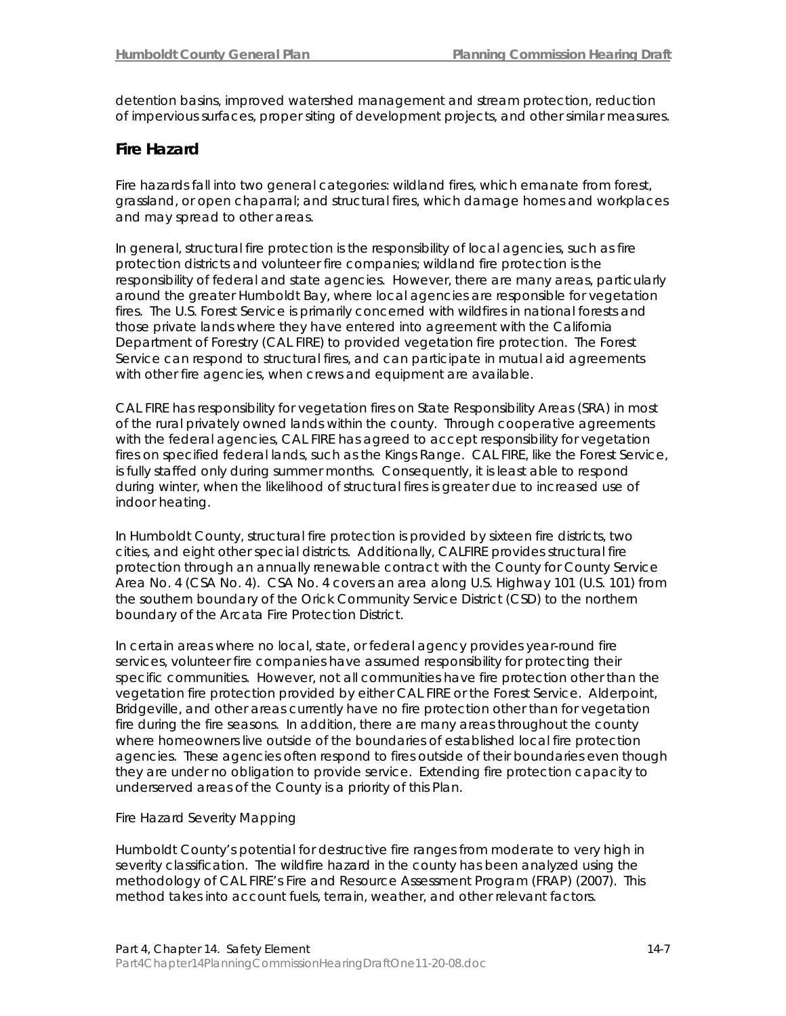detention basins, improved watershed management and stream protection, reduction of impervious surfaces, proper siting of development projects, and other similar measures.

## **Fire Hazard**

Fire hazards fall into two general categories: wildland fires, which emanate from forest, grassland, or open chaparral; and structural fires, which damage homes and workplaces and may spread to other areas.

In general, structural fire protection is the responsibility of local agencies, such as fire protection districts and volunteer fire companies; wildland fire protection is the responsibility of federal and state agencies. However, there are many areas, particularly around the greater Humboldt Bay, where local agencies are responsible for vegetation fires. The U.S. Forest Service is primarily concerned with wildfires in national forests and those private lands where they have entered into agreement with the California Department of Forestry (CAL FIRE) to provided vegetation fire protection. The Forest Service can respond to structural fires, and can participate in mutual aid agreements with other fire agencies, when crews and equipment are available.

CAL FIRE has responsibility for vegetation fires on State Responsibility Areas (SRA) in most of the rural privately owned lands within the county. Through cooperative agreements with the federal agencies, CAL FIRE has agreed to accept responsibility for vegetation fires on specified federal lands, such as the Kings Range. CAL FIRE, like the Forest Service, is fully staffed only during summer months. Consequently, it is least able to respond during winter, when the likelihood of structural fires is greater due to increased use of indoor heating.

In Humboldt County, structural fire protection is provided by sixteen fire districts, two cities, and eight other special districts. Additionally, CALFIRE provides structural fire protection through an annually renewable contract with the County for County Service Area No. 4 (CSA No. 4). CSA No. 4 covers an area along U.S. Highway 101 (U.S. 101) from the southern boundary of the Orick Community Service District (CSD) to the northern boundary of the Arcata Fire Protection District.

In certain areas where no local, state, or federal agency provides year-round fire services, volunteer fire companies have assumed responsibility for protecting their specific communities. However, not all communities have fire protection other than the vegetation fire protection provided by either CAL FIRE or the Forest Service. Alderpoint, Bridgeville, and other areas currently have no fire protection other than for vegetation fire during the fire seasons. In addition, there are many areas throughout the county where homeowners live outside of the boundaries of established local fire protection agencies. These agencies often respond to fires outside of their boundaries even though they are under no obligation to provide service. Extending fire protection capacity to underserved areas of the County is a priority of this Plan.

## *Fire Hazard Severity Mapping*

Humboldt County's potential for destructive fire ranges from moderate to very high in severity classification. The wildfire hazard in the county has been analyzed using the methodology of CAL FIRE's Fire and Resource Assessment Program (FRAP) (2007). This method takes into account fuels, terrain, weather, and other relevant factors.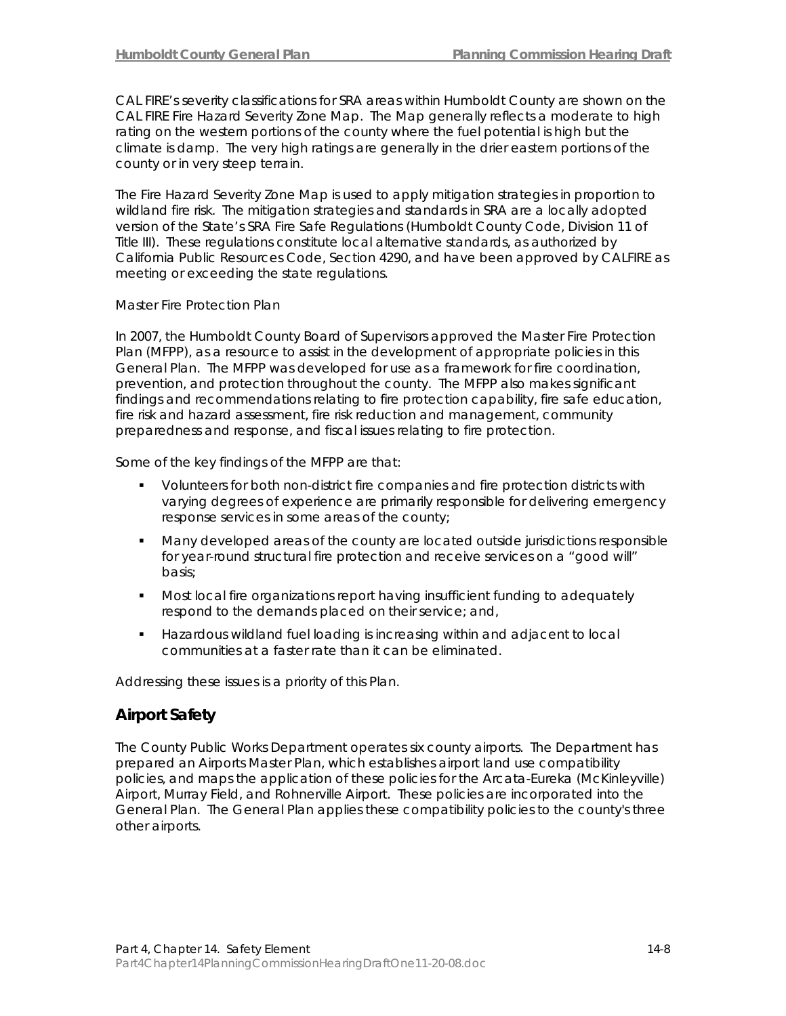CAL FIRE's severity classifications for SRA areas within Humboldt County are shown on the CAL FIRE Fire Hazard Severity Zone Map. The Map generally reflects a moderate to high rating on the western portions of the county where the fuel potential is high but the climate is damp. The very high ratings are generally in the drier eastern portions of the county or in very steep terrain.

The Fire Hazard Severity Zone Map is used to apply mitigation strategies in proportion to wildland fire risk. The mitigation strategies and standards in SRA are a locally adopted version of the State's SRA Fire Safe Regulations (Humboldt County Code, Division 11 of Title III). These regulations constitute local alternative standards, as authorized by California Public Resources Code, Section 4290, and have been approved by CALFIRE as meeting or exceeding the state regulations.

### *Master Fire Protection Plan*

In 2007, the Humboldt County Board of Supervisors approved the Master Fire Protection Plan (MFPP), as a resource to assist in the development of appropriate policies in this General Plan. The MFPP was developed for use as a framework for fire coordination, prevention, and protection throughout the county. The MFPP also makes significant findings and recommendations relating to fire protection capability, fire safe education, fire risk and hazard assessment, fire risk reduction and management, community preparedness and response, and fiscal issues relating to fire protection.

Some of the key findings of the MFPP are that:

- Volunteers for both non-district fire companies and fire protection districts with varying degrees of experience are primarily responsible for delivering emergency response services in some areas of the county;
- Many developed areas of the county are located outside jurisdictions responsible for year-round structural fire protection and receive services on a "good will" basis;
- Most local fire organizations report having insufficient funding to adequately respond to the demands placed on their service; and,
- Hazardous wildland fuel loading is increasing within and adjacent to local communities at a faster rate than it can be eliminated.

Addressing these issues is a priority of this Plan.

## **Airport Safety**

The County Public Works Department operates six county airports. The Department has prepared an Airports Master Plan, which establishes airport land use compatibility policies, and maps the application of these policies for the Arcata-Eureka (McKinleyville) Airport, Murray Field, and Rohnerville Airport. These policies are incorporated into the General Plan. The General Plan applies these compatibility policies to the county's three other airports.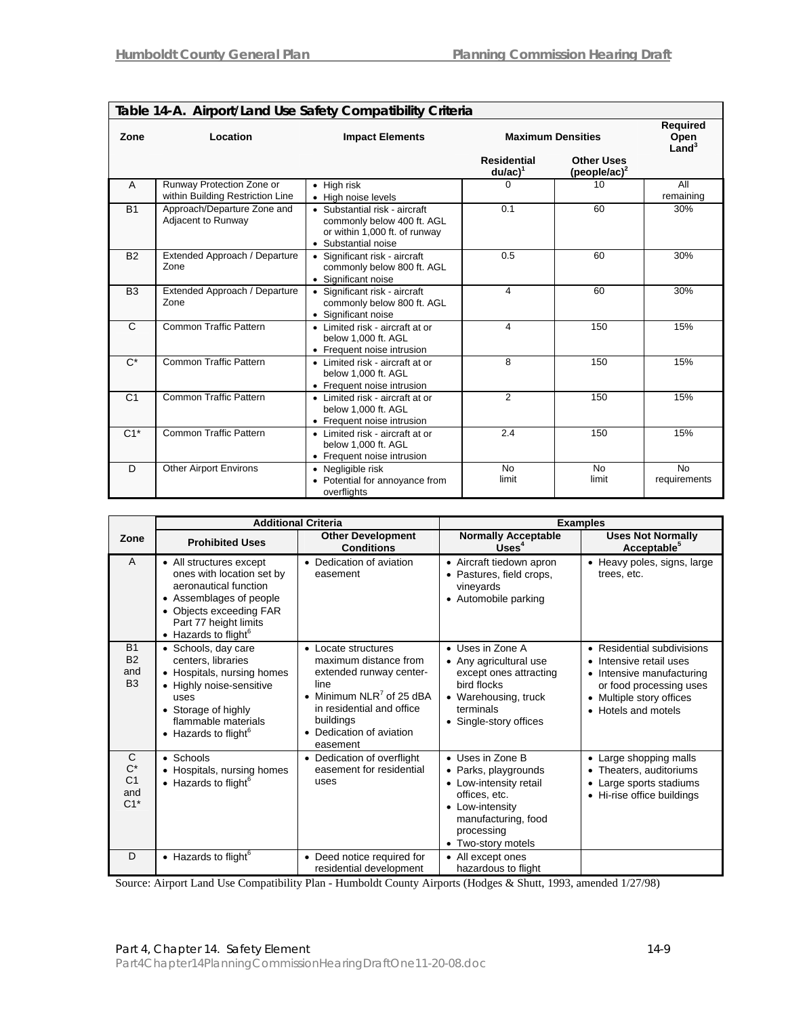$\overline{1}$ 

|                |                                                               | iable in the thippin calla use salety compatibility chiefla                                                         |                                  |                                       |                                       |
|----------------|---------------------------------------------------------------|---------------------------------------------------------------------------------------------------------------------|----------------------------------|---------------------------------------|---------------------------------------|
| Zone           | Location                                                      | <b>Impact Elements</b>                                                                                              | <b>Maximum Densities</b>         |                                       | Required<br>Open<br>Land <sup>3</sup> |
|                |                                                               |                                                                                                                     | <b>Residential</b><br>$du/ac)^1$ | <b>Other Uses</b><br>(people/ac) $^2$ |                                       |
| $\overline{A}$ | Runway Protection Zone or<br>within Building Restriction Line | $\bullet$ High risk<br>• High noise levels                                                                          | $\Omega$                         | 10                                    | All<br>remaining                      |
| <b>B1</b>      | Approach/Departure Zone and<br>Adjacent to Runway             | • Substantial risk - aircraft<br>commonly below 400 ft. AGL<br>or within 1,000 ft. of runway<br>• Substantial noise | 0.1                              | 60                                    | 30%                                   |
| <b>B2</b>      | Extended Approach / Departure<br>Zone                         | • Significant risk - aircraft<br>commonly below 800 ft. AGL<br>• Significant noise                                  | 0.5                              | 60                                    | 30%                                   |
| B <sub>3</sub> | Extended Approach / Departure<br>Zone                         | • Significant risk - aircraft<br>commonly below 800 ft. AGL<br>• Significant noise                                  | 4                                | 60                                    | 30%                                   |
| C              | <b>Common Traffic Pattern</b>                                 | • Limited risk - aircraft at or<br>below 1,000 ft. AGL<br>• Frequent noise intrusion                                | 4                                | 150                                   | 15%                                   |
| $C^*$          | <b>Common Traffic Pattern</b>                                 | • Limited risk - aircraft at or<br>below 1.000 ft. AGL<br>• Frequent noise intrusion                                | 8                                | 150                                   | 15%                                   |
| C <sub>1</sub> | <b>Common Traffic Pattern</b>                                 | • Limited risk - aircraft at or<br>below 1,000 ft. AGL<br>• Frequent noise intrusion                                | 2                                | 150                                   | 15%                                   |
| $C1^*$         | <b>Common Traffic Pattern</b>                                 | • Limited risk - aircraft at or<br>below 1,000 ft. AGL<br>• Frequent noise intrusion                                | 2.4                              | 150                                   | 15%                                   |
| D              | <b>Other Airport Environs</b>                                 | • Negligible risk<br>• Potential for annoyance from<br>overflights                                                  | <b>No</b><br>limit               | <b>No</b><br>limit                    | <b>No</b><br>requirements             |

|  |  |  |  | Table 14-A. Airport/Land Use Safety Compatibility Criteria |
|--|--|--|--|------------------------------------------------------------|
|  |  |  |  |                                                            |

|                                                 |                                                                                                                                                                                                          | <b>Additional Criteria</b>                                                                                                                                                                                | <b>Examples</b>                                                                                                                                                      |                                                                                                                                                                  |  |
|-------------------------------------------------|----------------------------------------------------------------------------------------------------------------------------------------------------------------------------------------------------------|-----------------------------------------------------------------------------------------------------------------------------------------------------------------------------------------------------------|----------------------------------------------------------------------------------------------------------------------------------------------------------------------|------------------------------------------------------------------------------------------------------------------------------------------------------------------|--|
| Zone                                            | <b>Prohibited Uses</b>                                                                                                                                                                                   | <b>Other Development</b><br><b>Conditions</b>                                                                                                                                                             | <b>Normally Acceptable</b><br>Uses <sup>4</sup>                                                                                                                      | <b>Uses Not Normally</b><br>Acceptable <sup>5</sup>                                                                                                              |  |
| A                                               | • All structures except<br>ones with location set by<br>aeronautical function<br>• Assemblages of people<br>• Objects exceeding FAR<br>Part 77 height limits<br>$\bullet$ Hazards to flight <sup>6</sup> | • Dedication of aviation<br>easement                                                                                                                                                                      | • Aircraft tiedown apron<br>• Pastures, field crops,<br>vineyards<br>• Automobile parking                                                                            | • Heavy poles, signs, large<br>trees, etc.                                                                                                                       |  |
| <b>B1</b><br><b>B2</b><br>and<br>B <sub>3</sub> | • Schools, day care<br>centers. libraries<br>• Hospitals, nursing homes<br>• Highly noise-sensitive<br>uses<br>• Storage of highly<br>flammable materials<br>$\bullet$ Hazards to flight <sup>6</sup>    | • Locate structures<br>maximum distance from<br>extended runway center-<br>line<br>• Minimum NLR <sup>7</sup> of 25 dBA<br>in residential and office<br>buildings<br>• Dedication of aviation<br>easement | • Uses in Zone A<br>• Any agricultural use<br>except ones attracting<br>bird flocks<br>• Warehousing, truck<br>terminals<br>• Single-story offices                   | • Residential subdivisions<br>• Intensive retail uses<br>• Intensive manufacturing<br>or food processing uses<br>• Multiple story offices<br>• Hotels and motels |  |
| C<br>$C^*$<br>C <sub>1</sub><br>and<br>$C1*$    | $\bullet$ Schools<br>• Hospitals, nursing homes<br>$\bullet$ Hazards to flight <sup>6</sup>                                                                                                              | • Dedication of overflight<br>easement for residential<br>uses                                                                                                                                            | • Uses in Zone B<br>• Parks, playgrounds<br>• Low-intensity retail<br>offices, etc.<br>• Low-intensity<br>manufacturing, food<br>processing<br>Two-story motels<br>٠ | • Large shopping malls<br>• Theaters, auditoriums<br>• Large sports stadiums<br>• Hi-rise office buildings                                                       |  |
| D                                               | $\bullet$ Hazards to flight <sup>6</sup>                                                                                                                                                                 | • Deed notice required for<br>residential development                                                                                                                                                     | • All except ones<br>hazardous to flight                                                                                                                             |                                                                                                                                                                  |  |

Source: Airport Land Use Compatibility Plan - Humboldt County Airports (Hodges & Shutt, 1993, amended 1/27/98)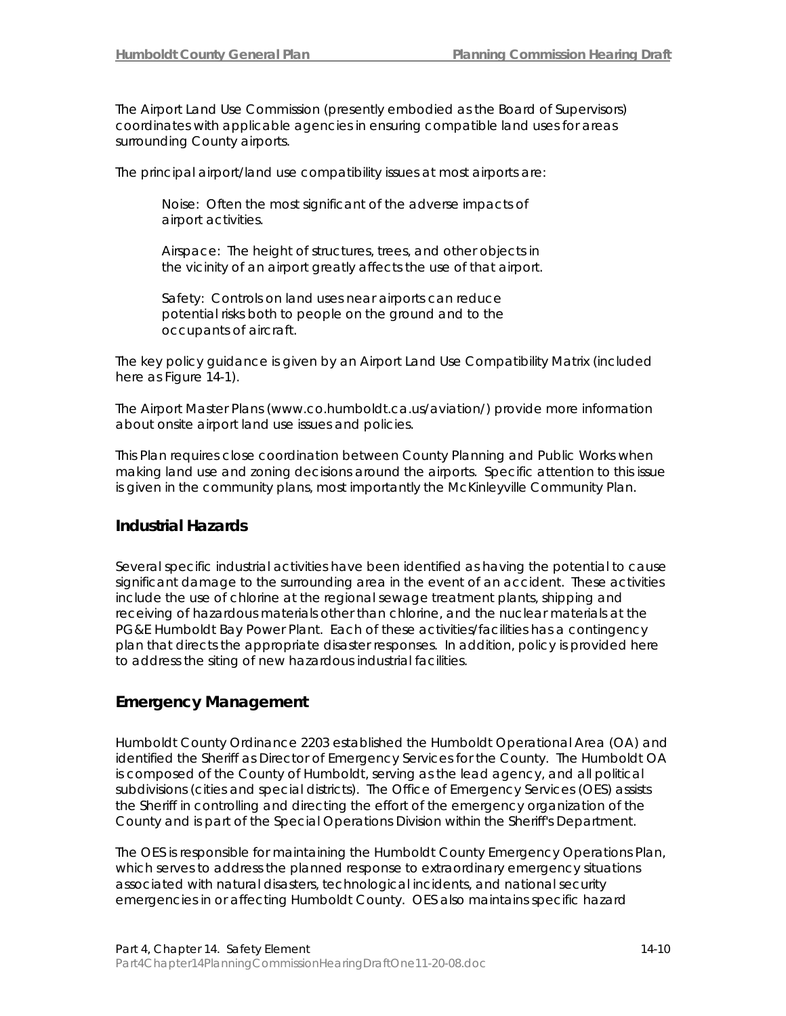The Airport Land Use Commission (presently embodied as the Board of Supervisors) coordinates with applicable agencies in ensuring compatible land uses for areas surrounding County airports.

The principal airport/land use compatibility issues at most airports are:

*Noise*: Often the most significant of the adverse impacts of airport activities.

*Airspace*: The height of structures, trees, and other objects in the vicinity of an airport greatly affects the use of that airport.

*Safety*: Controls on land uses near airports can reduce potential risks both to people on the ground and to the occupants of aircraft.

The key policy guidance is given by an Airport Land Use Compatibility Matrix (included here as Figure 14-1).

The Airport Master Plans (www.co.humboldt.ca.us/aviation/) provide more information about onsite airport land use issues and policies.

This Plan requires close coordination between County Planning and Public Works when making land use and zoning decisions around the airports. Specific attention to this issue is given in the community plans, most importantly the McKinleyville Community Plan.

## **Industrial Hazards**

Several specific industrial activities have been identified as having the potential to cause significant damage to the surrounding area in the event of an accident. These activities include the use of chlorine at the regional sewage treatment plants, shipping and receiving of hazardous materials other than chlorine, and the nuclear materials at the PG&E Humboldt Bay Power Plant. Each of these activities/facilities has a contingency plan that directs the appropriate disaster responses. In addition, policy is provided here to address the siting of new hazardous industrial facilities.

## **Emergency Management**

Humboldt County Ordinance 2203 established the Humboldt Operational Area (OA) and identified the Sheriff as Director of Emergency Services for the County. The Humboldt OA is composed of the County of Humboldt, serving as the lead agency, and all political subdivisions (cities and special districts). The Office of Emergency Services (OES) assists the Sheriff in controlling and directing the effort of the emergency organization of the County and is part of the Special Operations Division within the Sheriff's Department.

The OES is responsible for maintaining the Humboldt County Emergency Operations Plan, which serves to address the planned response to extraordinary emergency situations associated with natural disasters, technological incidents, and national security emergencies in or affecting Humboldt County. OES also maintains specific hazard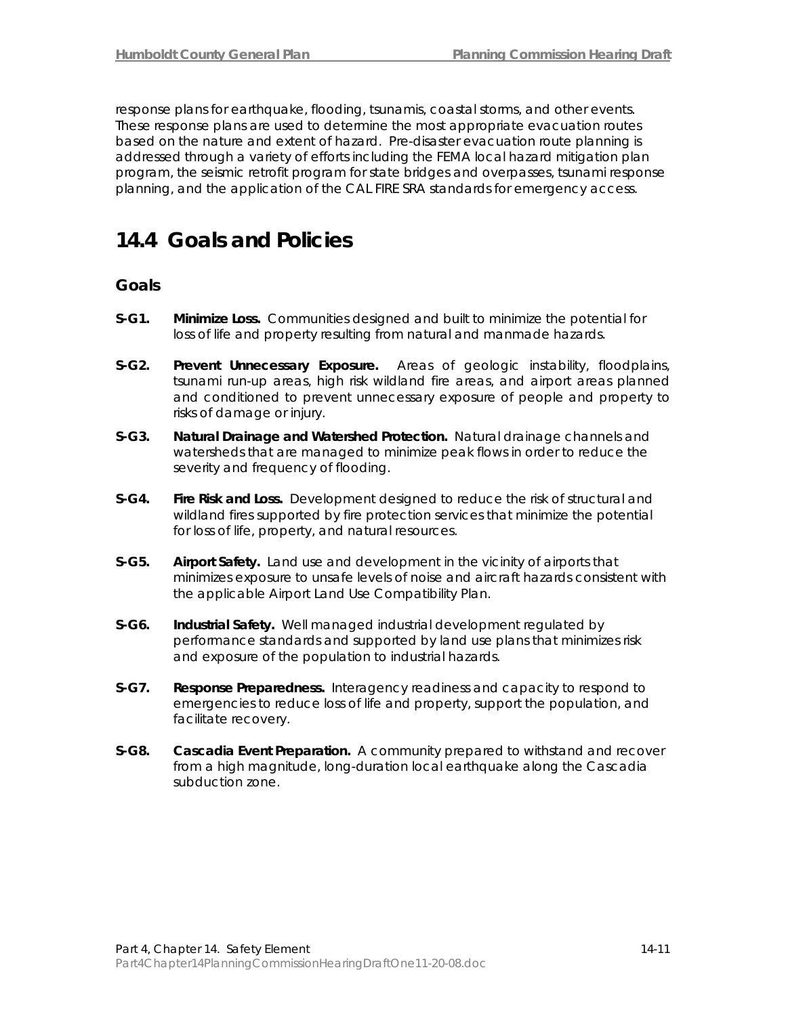response plans for earthquake, flooding, tsunamis, coastal storms, and other events. These response plans are used to determine the most appropriate evacuation routes based on the nature and extent of hazard. Pre-disaster evacuation route planning is addressed through a variety of efforts including the FEMA local hazard mitigation plan program, the seismic retrofit program for state bridges and overpasses, tsunami response planning, and the application of the CAL FIRE SRA standards for emergency access.

## **14.4 Goals and Policies**

## **Goals**

- **S-G1. Minimize Loss.** Communities designed and built to minimize the potential for loss of life and property resulting from natural and manmade hazards.
- **S-G2. Prevent Unnecessary Exposure.** Areas of geologic instability, floodplains, tsunami run-up areas, high risk wildland fire areas, and airport areas planned and conditioned to prevent unnecessary exposure of people and property to risks of damage or injury.
- **S-G3. Natural Drainage and Watershed Protection.** Natural drainage channels and watersheds that are managed to minimize peak flows in order to reduce the severity and frequency of flooding.
- **S-G4. Fire Risk and Loss.** Development designed to reduce the risk of structural and wildland fires supported by fire protection services that minimize the potential for loss of life, property, and natural resources.
- **S-G5. Airport Safety.** Land use and development in the vicinity of airports that minimizes exposure to unsafe levels of noise and aircraft hazards consistent with the applicable Airport Land Use Compatibility Plan.
- **S-G6. Industrial Safety.** Well managed industrial development regulated by performance standards and supported by land use plans that minimizes risk and exposure of the population to industrial hazards.
- **S-G7. Response Preparedness.** Interagency readiness and capacity to respond to emergencies to reduce loss of life and property, support the population, and facilitate recovery.
- **S-G8. Cascadia Event Preparation.** A community prepared to withstand and recover from a high magnitude, long-duration local earthquake along the Cascadia subduction zone.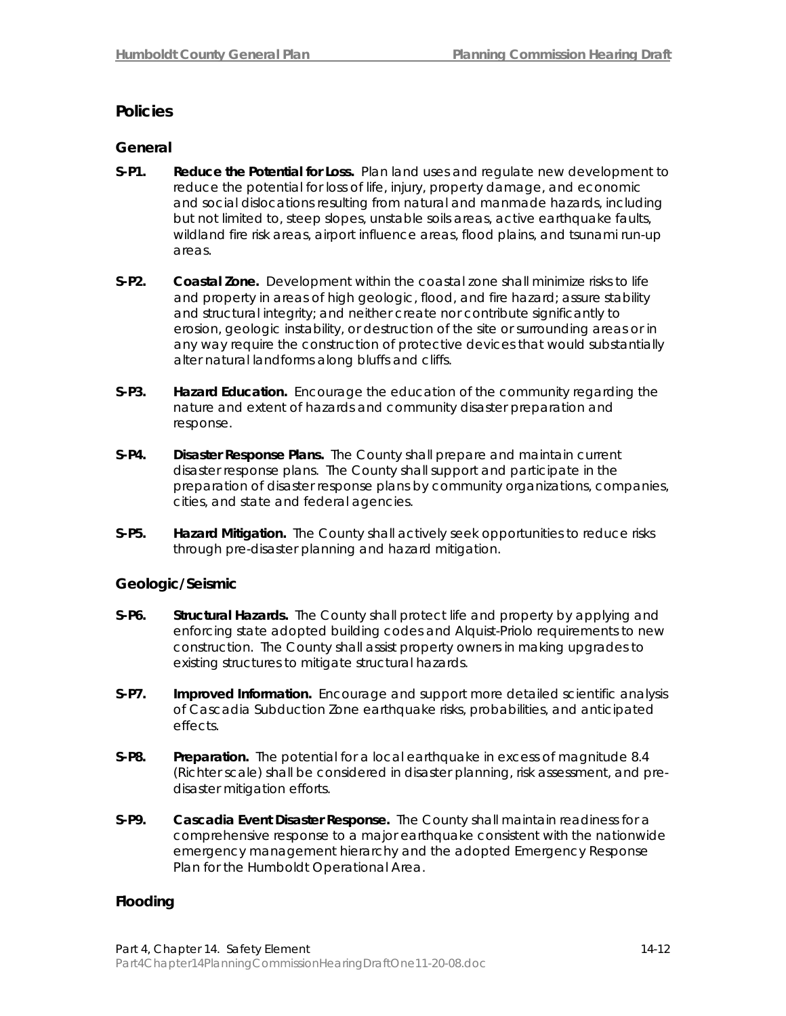## **Policies**

## **General**

- **S-P1. Reduce the Potential for Loss.** Plan land uses and regulate new development to reduce the potential for loss of life, injury, property damage, and economic and social dislocations resulting from natural and manmade hazards, including but not limited to, steep slopes, unstable soils areas, active earthquake faults, wildland fire risk areas, airport influence areas, flood plains, and tsunami run-up areas.
- **S-P2. Coastal Zone.** Development within the coastal zone shall minimize risks to life and property in areas of high geologic, flood, and fire hazard; assure stability and structural integrity; and neither create nor contribute significantly to erosion, geologic instability, or destruction of the site or surrounding areas or in any way require the construction of protective devices that would substantially alter natural landforms along bluffs and cliffs.
- **S-P3. Hazard Education.** Encourage the education of the community regarding the nature and extent of hazards and community disaster preparation and response.
- **S-P4. Disaster Response Plans.** The County shall prepare and maintain current disaster response plans. The County shall support and participate in the preparation of disaster response plans by community organizations, companies, cities, and state and federal agencies.
- **S-P5. Hazard Mitigation.** The County shall actively seek opportunities to reduce risks through pre-disaster planning and hazard mitigation.

## **Geologic/Seismic**

- **S-P6. Structural Hazards.** The County shall protect life and property by applying and enforcing state adopted building codes and Alquist-Priolo requirements to new construction. The County shall assist property owners in making upgrades to existing structures to mitigate structural hazards.
- **S-P7. Improved Information.** Encourage and support more detailed scientific analysis of Cascadia Subduction Zone earthquake risks, probabilities, and anticipated effects.
- **S-P8.** Preparation. The potential for a local earthquake in excess of magnitude 8.4 (Richter scale) shall be considered in disaster planning, risk assessment, and predisaster mitigation efforts.
- **S-P9. Cascadia Event Disaster Response.** The County shall maintain readiness for a comprehensive response to a major earthquake consistent with the nationwide emergency management hierarchy and the adopted Emergency Response Plan for the Humboldt Operational Area.

## **Flooding**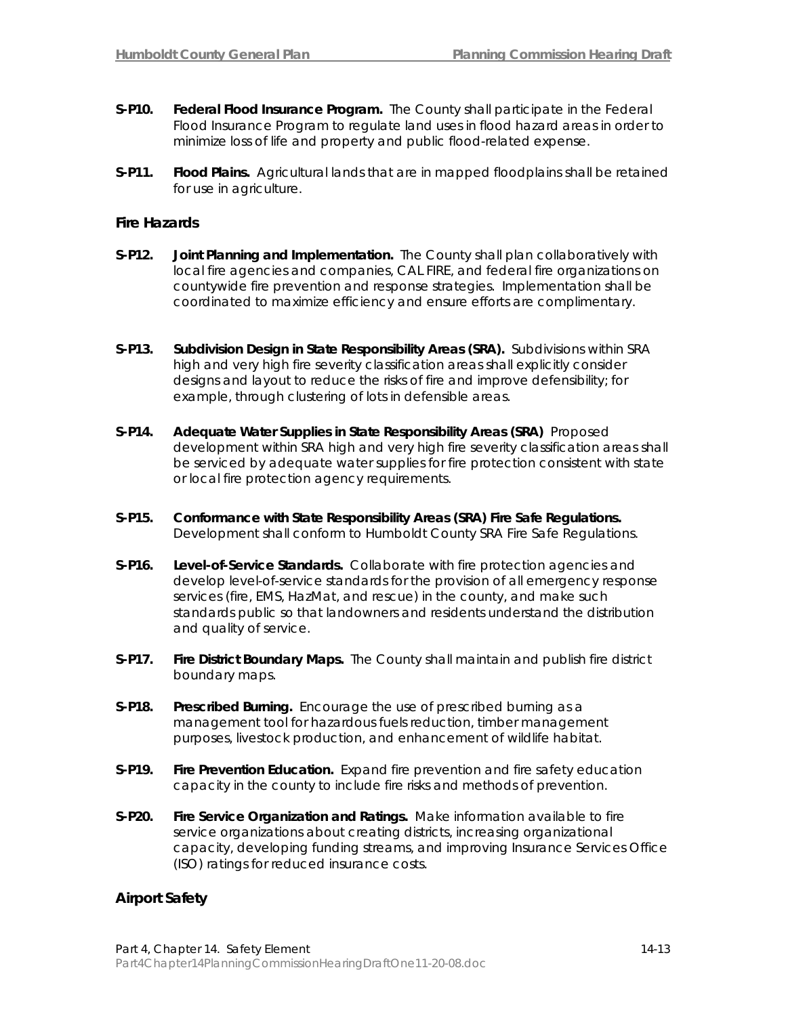- **S-P10. Federal Flood Insurance Program.** The County shall participate in the Federal Flood Insurance Program to regulate land uses in flood hazard areas in order to minimize loss of life and property and public flood-related expense.
- **S-P11. Flood Plains.** Agricultural lands that are in mapped floodplains shall be retained for use in agriculture.

## **Fire Hazards**

- **S-P12. Joint Planning and Implementation.** The County shall plan collaboratively with local fire agencies and companies, CAL FIRE, and federal fire organizations on countywide fire prevention and response strategies. Implementation shall be coordinated to maximize efficiency and ensure efforts are complimentary.
- **S-P13. Subdivision Design in State Responsibility Areas (SRA).** Subdivisions within SRA high and very high fire severity classification areas shall explicitly consider designs and layout to reduce the risks of fire and improve defensibility; for example, through clustering of lots in defensible areas.
- **S-P14. Adequate Water Supplies in State Responsibility Areas (SRA)** Proposed development within SRA high and very high fire severity classification areas shall be serviced by adequate water supplies for fire protection consistent with state or local fire protection agency requirements.
- **S-P15. Conformance with State Responsibility Areas (SRA) Fire Safe Regulations.** Development shall conform to Humboldt County SRA Fire Safe Regulations.
- **S-P16. Level-of-Service Standards.** Collaborate with fire protection agencies and develop level-of-service standards for the provision of all emergency response services (fire, EMS, HazMat, and rescue) in the county, and make such standards public so that landowners and residents understand the distribution and quality of service.
- **S-P17. Fire District Boundary Maps.** The County shall maintain and publish fire district boundary maps.
- **S-P18. Prescribed Burning.** Encourage the use of prescribed burning as a management tool for hazardous fuels reduction, timber management purposes, livestock production, and enhancement of wildlife habitat.
- **S-P19. Fire Prevention Education.** Expand fire prevention and fire safety education capacity in the county to include fire risks and methods of prevention.
- **S-P20. Fire Service Organization and Ratings.** Make information available to fire service organizations about creating districts, increasing organizational capacity, developing funding streams, and improving Insurance Services Office (ISO) ratings for reduced insurance costs.

## **Airport Safety**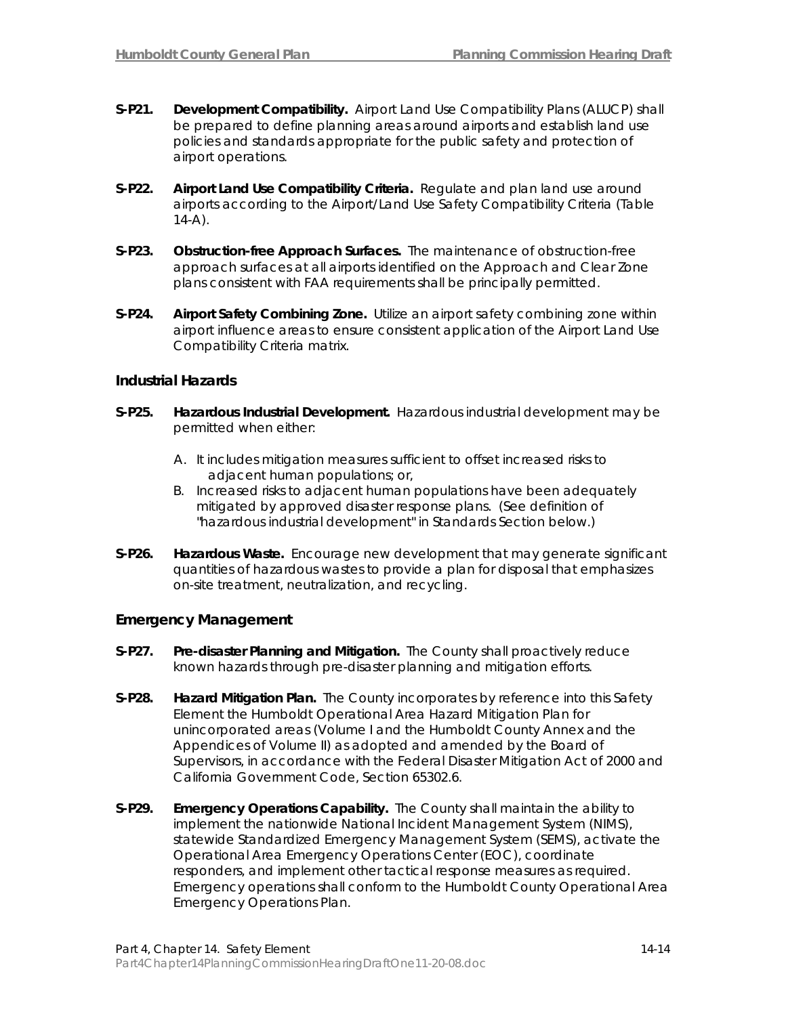- **S-P21. Development Compatibility.** Airport Land Use Compatibility Plans (ALUCP) shall be prepared to define planning areas around airports and establish land use policies and standards appropriate for the public safety and protection of airport operations.
- **S-P22. Airport Land Use Compatibility Criteria.** Regulate and plan land use around airports according to the Airport/Land Use Safety Compatibility Criteria (Table  $14-A$ ).
- **S-P23. Obstruction-free Approach Surfaces.** The maintenance of obstruction-free approach surfaces at all airports identified on the Approach and Clear Zone plans consistent with FAA requirements shall be principally permitted.
- **S-P24. Airport Safety Combining Zone.** Utilize an airport safety combining zone within airport influence areas to ensure consistent application of the Airport Land Use Compatibility Criteria matrix.

## **Industrial Hazards**

- **S-P25. Hazardous Industrial Development.** Hazardous industrial development may be permitted when either:
	- A. It includes mitigation measures sufficient to offset increased risks to adjacent human populations; or,
	- B. Increased risks to adjacent human populations have been adequately mitigated by approved disaster response plans. (See definition of "hazardous industrial development" in Standards Section below.)
- **S-P26. Hazardous Waste.** Encourage new development that may generate significant quantities of hazardous wastes to provide a plan for disposal that emphasizes on-site treatment, neutralization, and recycling.

### **Emergency Management**

- **S-P27. Pre-disaster Planning and Mitigation.** The County shall proactively reduce known hazards through pre-disaster planning and mitigation efforts.
- **S-P28. Hazard Mitigation Plan.** The County incorporates by reference into this Safety Element the Humboldt Operational Area Hazard Mitigation Plan for unincorporated areas (Volume I and the Humboldt County Annex and the Appendices of Volume II) as adopted and amended by the Board of Supervisors, in accordance with the Federal Disaster Mitigation Act of 2000 and California Government Code, Section 65302.6.
- **S-P29. Emergency Operations Capability.** The County shall maintain the ability to implement the nationwide National Incident Management System (NIMS), statewide Standardized Emergency Management System (SEMS), activate the Operational Area Emergency Operations Center (EOC), coordinate responders, and implement other tactical response measures as required. Emergency operations shall conform to the Humboldt County Operational Area Emergency Operations Plan.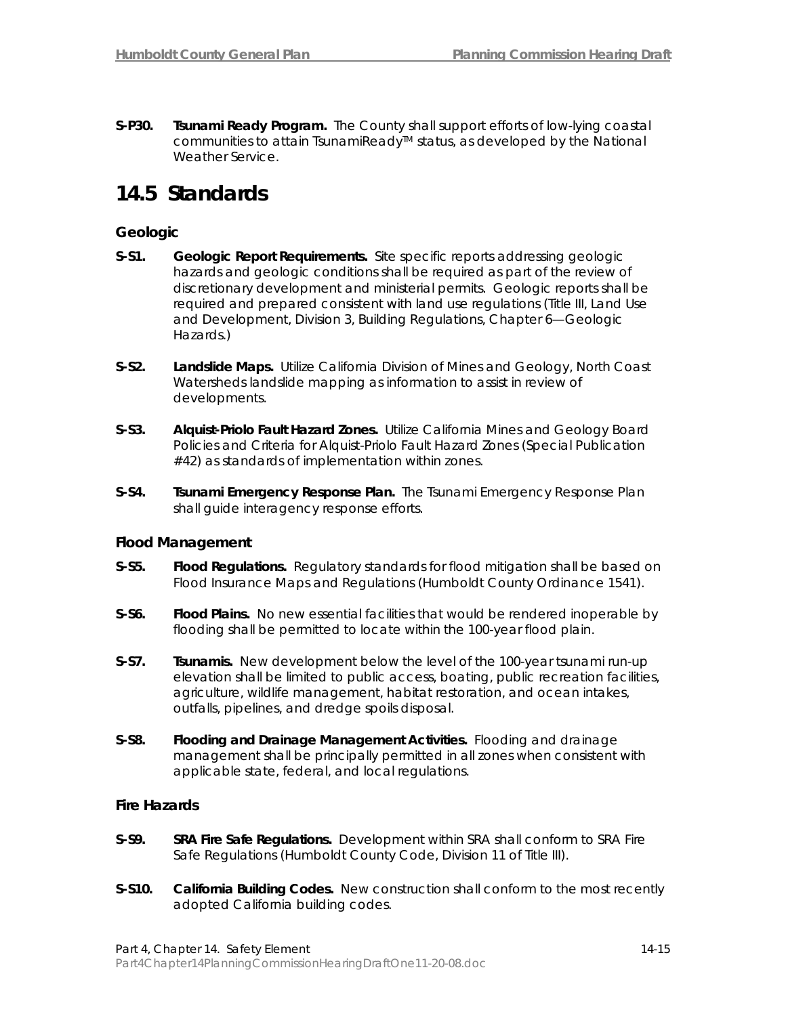**S-P30. Tsunami Ready Program.** The County shall support efforts of low-lying coastal communities to attain TsunamiReady™ status, as developed by the National Weather Service.

## **14.5 Standards**

## **Geologic**

- **S-S1. Geologic Report Requirements.** Site specific reports addressing geologic hazards and geologic conditions shall be required as part of the review of discretionary development and ministerial permits. Geologic reports shall be required and prepared consistent with land use regulations (Title III, Land Use and Development, Division 3, Building Regulations, Chapter 6—Geologic Hazards.)
- **S-S2. Landslide Maps.** Utilize California Division of Mines and Geology, North Coast Watersheds landslide mapping as information to assist in review of developments.
- **S-S3. Alquist-Priolo Fault Hazard Zones.** Utilize California Mines and Geology Board Policies and Criteria for Alquist-Priolo Fault Hazard Zones (Special Publication #42) as standards of implementation within zones.
- **S-S4. Tsunami Emergency Response Plan.** The Tsunami Emergency Response Plan shall guide interagency response efforts.

### **Flood Management**

- **S-S5. Flood Regulations.** Regulatory standards for flood mitigation shall be based on Flood Insurance Maps and Regulations (Humboldt County Ordinance 1541).
- **S-S6. Flood Plains.** No new essential facilities that would be rendered inoperable by flooding shall be permitted to locate within the 100-year flood plain.
- **S-S7. Tsunamis.** New development below the level of the 100-year tsunami run-up elevation shall be limited to public access, boating, public recreation facilities, agriculture, wildlife management, habitat restoration, and ocean intakes, outfalls, pipelines, and dredge spoils disposal.
- **S-S8. Flooding and Drainage Management Activities.** Flooding and drainage management shall be principally permitted in all zones when consistent with applicable state, federal, and local regulations.

### **Fire Hazards**

- **S-S9. SRA Fire Safe Regulations.** Development within SRA shall conform to SRA Fire Safe Regulations (Humboldt County Code, Division 11 of Title III).
- **S-S10. California Building Codes.** New construction shall conform to the most recently adopted California building codes.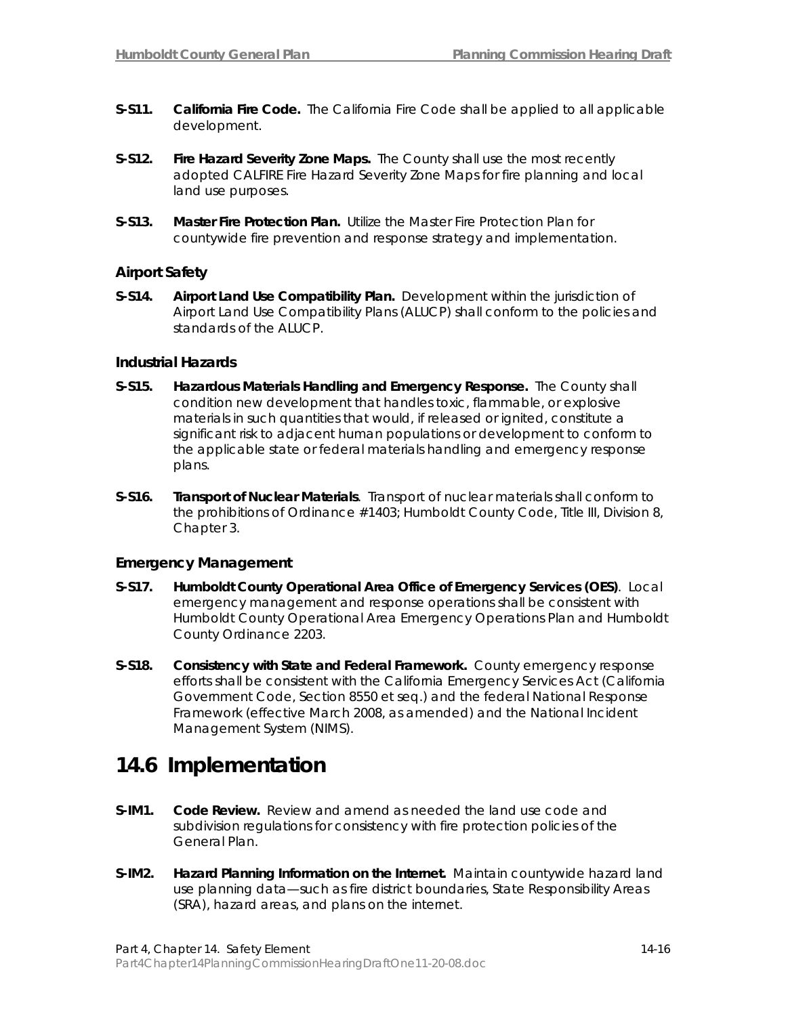- **S-S11. California Fire Code.** The California Fire Code shall be applied to all applicable development.
- **S-S12. Fire Hazard Severity Zone Maps.** The County shall use the most recently adopted CALFIRE Fire Hazard Severity Zone Maps for fire planning and local land use purposes.
- **S-S13. Master Fire Protection Plan.** Utilize the Master Fire Protection Plan for countywide fire prevention and response strategy and implementation.

## **Airport Safety**

**S-S14. Airport Land Use Compatibility Plan.** Development within the jurisdiction of Airport Land Use Compatibility Plans (ALUCP) shall conform to the policies and standards of the ALUCP.

## **Industrial Hazards**

- **S-S15. Hazardous Materials Handling and Emergency Response.** The County shall condition new development that handles toxic, flammable, or explosive materials in such quantities that would, if released or ignited, constitute a significant risk to adjacent human populations or development to conform to the applicable state or federal materials handling and emergency response plans.
- **S-S16. Transport of Nuclear Materials**. Transport of nuclear materials shall conform to the prohibitions of Ordinance #1403; Humboldt County Code, Title III, Division 8, Chapter 3.

### **Emergency Management**

- **S-S17. Humboldt County Operational Area Office of Emergency Services (OES)**. Local emergency management and response operations shall be consistent with Humboldt County Operational Area Emergency Operations Plan and Humboldt County Ordinance 2203.
- **S-S18. Consistency with State and Federal Framework.** County emergency response efforts shall be consistent with the California Emergency Services Act (California Government Code, Section 8550 et seq.) and the federal National Response Framework (effective March 2008, as amended) and the [National Incident](http://www.fema.gov/emergency/nims/index.shtm)  [Management System \(NIMS\).](http://www.fema.gov/emergency/nims/index.shtm)

## **14.6 Implementation**

- **S-IM1. Code Review.** Review and amend as needed the land use code and subdivision regulations for consistency with fire protection policies of the General Plan.
- **S-IM2. Hazard Planning Information on the Internet.** Maintain countywide hazard land use planning data—such as fire district boundaries, State Responsibility Areas (SRA), hazard areas, and plans on the internet.